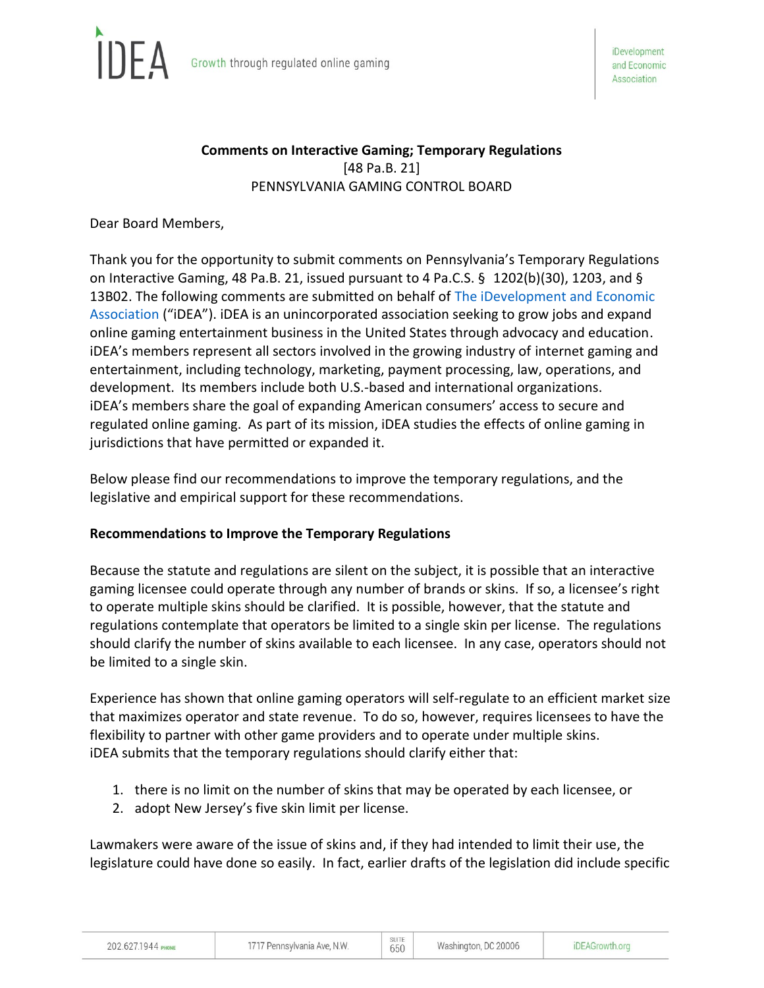

# **Comments on Interactive Gaming; Temporary Regulations** [48 Pa.B. 21] PENNSYLVANIA GAMING CONTROL BOARD

Dear Board Members,

Thank you for the opportunity to submit comments on Pennsylvania's Temporary Regulations on Interactive Gaming, 48 Pa.B. 21, issued pursuant to 4 Pa.C.S. § 1202(b)(30), 1203, and § 13B02. The following comments are submitted on behalf of [The iDevelopment and Economic](https://ideagrowth.org/)  [Association](https://ideagrowth.org/) ("iDEA"). iDEA is an unincorporated association seeking to grow jobs and expand online gaming entertainment business in the United States through advocacy and education. iDEA's members represent all sectors involved in the growing industry of internet gaming and entertainment, including technology, marketing, payment processing, law, operations, and development. Its members include both U.S.-based and international organizations. iDEA's members share the goal of expanding American consumers' access to secure and regulated online gaming. As part of its mission, iDEA studies the effects of online gaming in jurisdictions that have permitted or expanded it.

Below please find our recommendations to improve the temporary regulations, and the legislative and empirical support for these recommendations.

#### **Recommendations to Improve the Temporary Regulations**

Because the statute and regulations are silent on the subject, it is possible that an interactive gaming licensee could operate through any number of brands or skins. If so, a licensee's right to operate multiple skins should be clarified. It is possible, however, that the statute and regulations contemplate that operators be limited to a single skin per license. The regulations should clarify the number of skins available to each licensee. In any case, operators should not be limited to a single skin.

Experience has shown that online gaming operators will self-regulate to an efficient market size that maximizes operator and state revenue. To do so, however, requires licensees to have the flexibility to partner with other game providers and to operate under multiple skins. iDEA submits that the temporary regulations should clarify either that:

- 1. there is no limit on the number of skins that may be operated by each licensee, or
- 2. adopt New Jersey's five skin limit per license.

Lawmakers were aware of the issue of skins and, if they had intended to limit their use, the legislature could have done so easily. In fact, earlier drafts of the legislation did include specific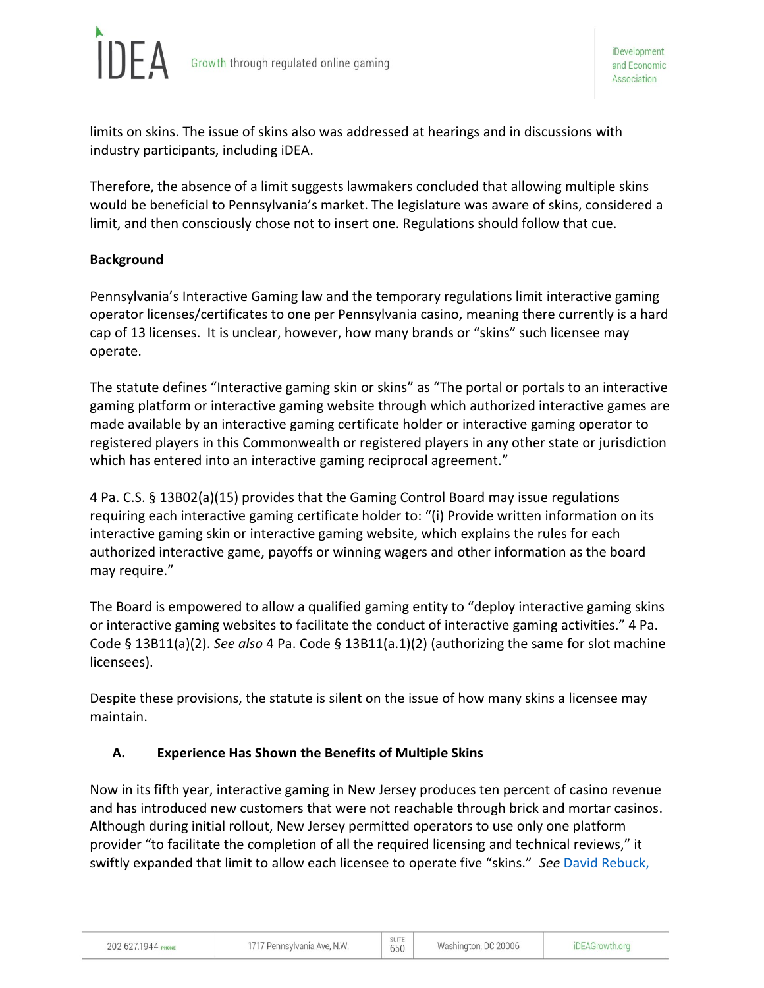

limits on skins. The issue of skins also was addressed at hearings and in discussions with industry participants, including iDEA.

Therefore, the absence of a limit suggests lawmakers concluded that allowing multiple skins would be beneficial to Pennsylvania's market. The legislature was aware of skins, considered a limit, and then consciously chose not to insert one. Regulations should follow that cue.

### **Background**

Pennsylvania's Interactive Gaming law and the temporary regulations limit interactive gaming operator licenses/certificates to one per Pennsylvania casino, meaning there currently is a hard cap of 13 licenses. It is unclear, however, how many brands or "skins" such licensee may operate.

The statute defines "Interactive gaming skin or skins" as "The portal or portals to an interactive gaming platform or interactive gaming website through which authorized interactive games are made available by an interactive gaming certificate holder or interactive gaming operator to registered players in this Commonwealth or registered players in any other state or jurisdiction which has entered into an interactive gaming reciprocal agreement."

4 Pa. C.S. § 13B02(a)(15) provides that the Gaming Control Board may issue regulations requiring each interactive gaming certificate holder to: "(i) Provide written information on its interactive gaming skin or interactive gaming website, which explains the rules for each authorized interactive game, payoffs or winning wagers and other information as the board may require."

The Board is empowered to allow a qualified gaming entity to "deploy interactive gaming skins or interactive gaming websites to facilitate the conduct of interactive gaming activities." 4 Pa. Code § 13B11(a)(2). *See also* 4 Pa. Code § 13B11(a.1)(2) (authorizing the same for slot machine licensees).

Despite these provisions, the statute is silent on the issue of how many skins a licensee may maintain.

#### **A. Experience Has Shown the Benefits of Multiple Skins**

Now in its fifth year, interactive gaming in New Jersey produces ten percent of casino revenue and has introduced new customers that were not reachable through brick and mortar casinos. Although during initial rollout, New Jersey permitted operators to use only one platform provider "to facilitate the completion of all the required licensing and technical reviews," it swiftly expanded that limit to allow each licensee to operate five "skins." *See* [David Rebuck,](http://www.nj.gov/oag/ge/2015news/Internetgamingletter.pdf.)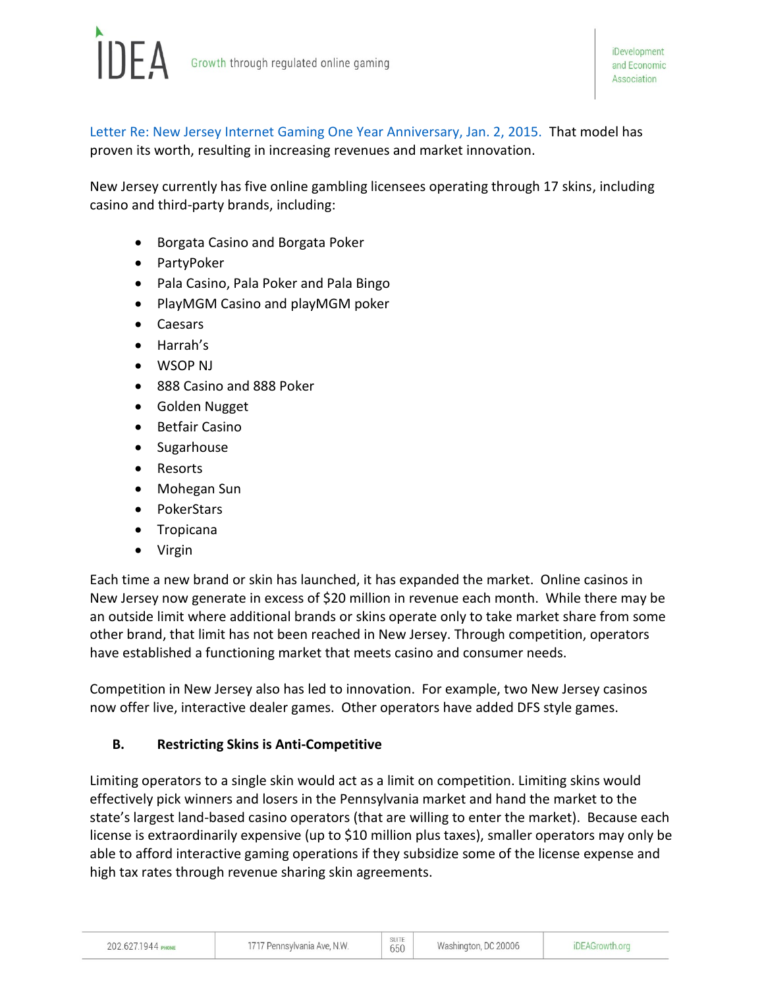

[Letter Re: New Jersey Internet Gaming One Year Anniversary, Jan. 2, 2015.](http://www.nj.gov/oag/ge/2015news/Internetgamingletter.pdf.) That model has proven its worth, resulting in increasing revenues and market innovation.

New Jersey currently has five online gambling licensees operating through 17 skins, including casino and third-party brands, including:

- Borgata Casino and Borgata Poker
- PartyPoker
- Pala Casino, Pala Poker and Pala Bingo
- PlayMGM Casino and playMGM poker
- Caesars
- Harrah's
- WSOP NJ
- 888 Casino and 888 Poker
- Golden Nugget
- Betfair Casino
- Sugarhouse
- Resorts
- Mohegan Sun
- PokerStars
- Tropicana
- Virgin

Each time a new brand or skin has launched, it has expanded the market. Online casinos in New Jersey now generate in excess of \$20 million in revenue each month. While there may be an outside limit where additional brands or skins operate only to take market share from some other brand, that limit has not been reached in New Jersey. Through competition, operators have established a functioning market that meets casino and consumer needs.

Competition in New Jersey also has led to innovation. For example, two New Jersey casinos now offer live, interactive dealer games. Other operators have added DFS style games.

#### **B. Restricting Skins is Anti-Competitive**

Limiting operators to a single skin would act as a limit on competition. Limiting skins would effectively pick winners and losers in the Pennsylvania market and hand the market to the state's largest land-based casino operators (that are willing to enter the market). Because each license is extraordinarily expensive (up to \$10 million plus taxes), smaller operators may only be able to afford interactive gaming operations if they subsidize some of the license expense and high tax rates through revenue sharing skin agreements.